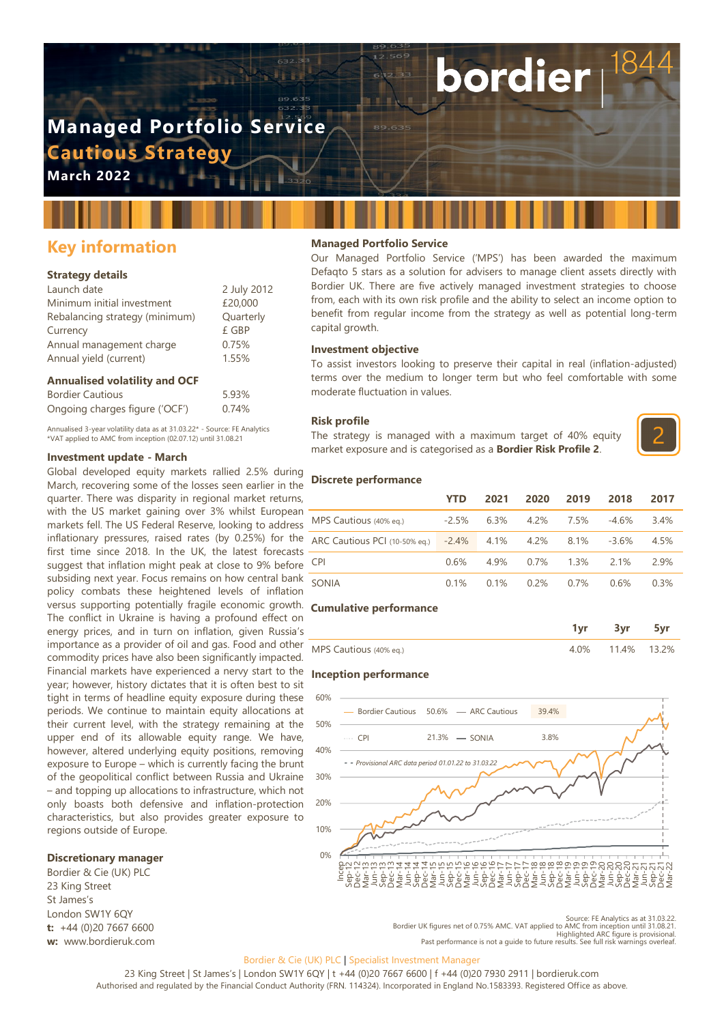# **Managed Portfolio Service Cautious Strategy**

**March 2022**

# **Key information**

### **Strategy details**

| Launch date                    | 2 July 2012 |
|--------------------------------|-------------|
| Minimum initial investment     | £20,000     |
| Rebalancing strategy (minimum) | Quarterly   |
| Currency                       | £ GBP       |
| Annual management charge       | 0.75%       |
| Annual yield (current)         | 1.55%       |
|                                |             |

### **Annualised volatility and OCF**

| <b>Bordier Cautious</b>        | 5.93% |
|--------------------------------|-------|
| Ongoing charges figure ('OCF') | 0.74% |

Annualised 3-year volatility data as at 31.03.22\* - Source: FE Analytics \*VAT applied to AMC from inception (02.07.12) until 31.08.21

### **Investment update - March**

Global developed equity markets rallied 2.5% during March, recovering some of the losses seen earlier in the quarter. There was disparity in regional market returns, with the US market gaining over 3% whilst European markets fell. The US Federal Reserve, looking to address inflationary pressures, raised rates (by 0.25%) for the first time since 2018. In the UK, the latest forecasts suggest that inflation might peak at close to 9% before subsiding next year. Focus remains on how central bank policy combats these heightened levels of inflation versus supporting potentially fragile economic growth. **Cumulative performance** The conflict in Ukraine is having a profound effect on energy prices, and in turn on inflation, given Russia's importance as a provider of oil and gas. Food and other commodity prices have also been significantly impacted. Financial markets have experienced a nervy start to the **Inception performance** year; however, history dictates that it is often best to sit tight in terms of headline equity exposure during these periods. We continue to maintain equity allocations at their current level, with the strategy remaining at the upper end of its allowable equity range. We have, however, altered underlying equity positions, removing exposure to Europe – which is currently facing the brunt of the geopolitical conflict between Russia and Ukraine – and topping up allocations to infrastructure, which not only boasts both defensive and inflation-protection characteristics, but also provides greater exposure to regions outside of Europe.

### **Discretionary manager**

Bordier & Cie (UK) PLC 23 King Street St James's London SW1Y 6QY **t:** +44 (0)20 7667 6600 **w:** www.bordieruk.com

### **Managed Portfolio Service**

Our Managed Portfolio Service ('MPS') has been awarded the maximum Defaqto 5 stars as a solution for advisers to manage client assets directly with Bordier UK. There are five actively managed investment strategies to choose from, each with its own risk profile and the ability to select an income option to benefit from regular income from the strategy as well as potential long-term capital growth.

bordier

### **Investment objective**

To assist investors looking to preserve their capital in real (inflation-adjusted) terms over the medium to longer term but who feel comfortable with some moderate fluctuation in values.

### **Risk profile**

The strategy is managed with a maximum target of 40% equity market exposure and is categorised as a **Bordier Risk Profile 2**.



### **Discrete performance**

|                                               | YTD     | 2021    | 2020    | 2019    | 2018     | 2017 |
|-----------------------------------------------|---------|---------|---------|---------|----------|------|
| MPS Cautious (40% eg.)                        | $-2.5%$ | $6.3\%$ | 4.2%    | 7.5%    | $-4.6\%$ | 3.4% |
| ARC Cautious PCI (10-50% eq.) -2.4% 4.1% 4.2% |         |         |         | 8.1%    | $-3.6\%$ | 4.5% |
| <b>CPI</b>                                    | 0.6%    | 4 9%    | $0.7\%$ | $1.3\%$ | 2 1%     | 2.9% |
| SONIA                                         | 0.1%    | 0.1%    | $0.2\%$ | 0.7%    | 0.6%     | 0.3% |

|                        | 1vr | 3vr              |  |
|------------------------|-----|------------------|--|
| MPS Cautious (40% eg.) |     | 4.0% 11.4% 13.2% |  |



Source: FE Analytics as at 31.03.22. Bordier UK figures net of 0.75% AMC. VAT applied to AMC from inception until 31.08.21. Highlighted ARC figure is provisional. Past performance is not a guide to future results. See full risk warnings overleaf.

### Bordier & Cie (UK) PLC | Specialist Investment Manager

23 King Street | St James's | London SW1Y 6QY | t +44 (0)20 7667 6600 | f +44 (0)20 7930 2911 | bordieruk.com Authorised and regulated by the Financial Conduct Authority (FRN. 114324). Incorporated in England No.1583393. Registered Office as above.